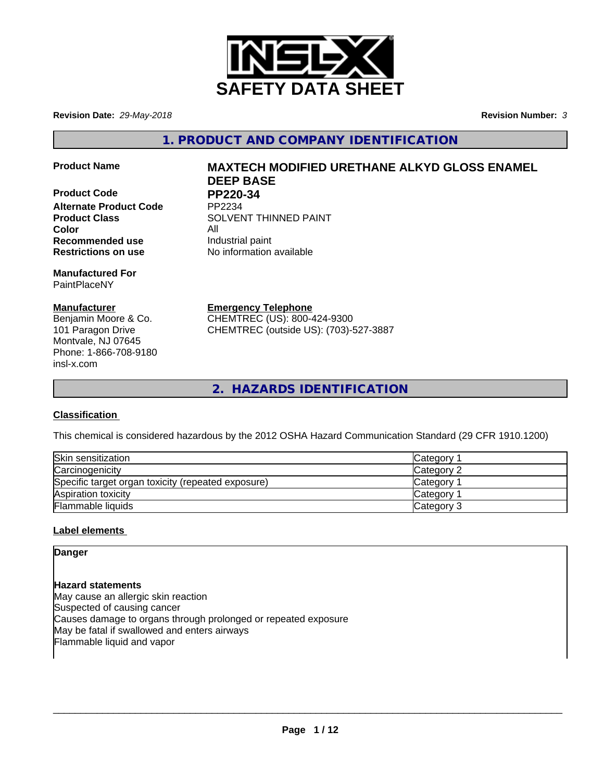

**Revision Date:** *29-May-2018* **Revision Number:** *3*

**1. PRODUCT AND COMPANY IDENTIFICATION**

**Product Code PP220-34**<br>Alternate Product Code PP2234 **Alternate Product Code Color** All **Recommended use Industrial paint Restrictions on use** No information available

**Manufactured For** PaintPlaceNY

## **Manufacturer**

Benjamin Moore & Co. 101 Paragon Drive Montvale, NJ 07645 Phone: 1-866-708-9180 insl-x.com

# **Product Name MAXTECH MODIFIED URETHANE ALKYD GLOSS ENAMEL DEEP BASE**

**Product Class SOLVENT THINNED PAINT** 

**Emergency Telephone**

CHEMTREC (US): 800-424-9300 CHEMTREC (outside US): (703)-527-3887

**2. HAZARDS IDENTIFICATION**

## **Classification**

This chemical is considered hazardous by the 2012 OSHA Hazard Communication Standard (29 CFR 1910.1200)

| Skin sensitization                                 | Category        |
|----------------------------------------------------|-----------------|
| Carcinogenicity                                    | Category 2      |
| Specific target organ toxicity (repeated exposure) | <b>Category</b> |
| Aspiration toxicity                                | <b>Category</b> |
| Flammable liquids                                  | Category 3      |

## **Label elements**

**Danger**

**Hazard statements** May cause an allergic skin reaction Suspected of causing cancer Causes damage to organs through prolonged or repeated exposure May be fatal if swallowed and enters airways Flammable liquid and vapor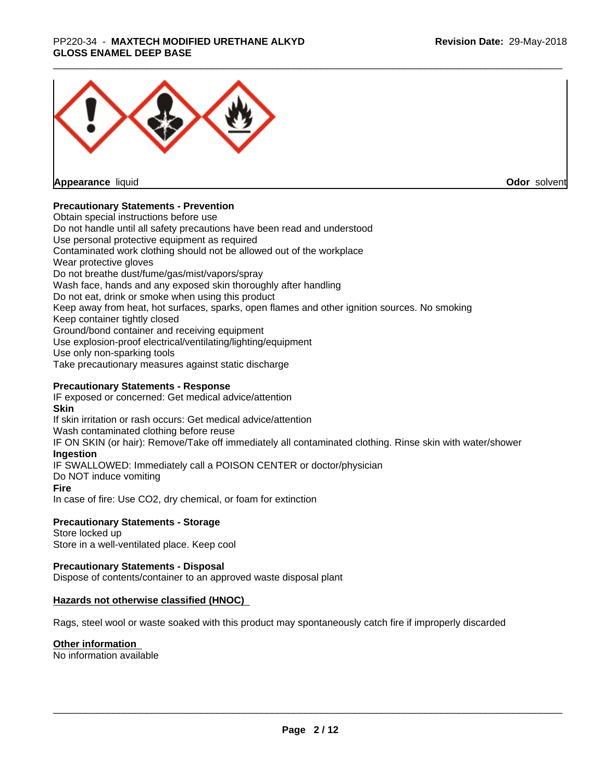## \_\_\_\_\_\_\_\_\_\_\_\_\_\_\_\_\_\_\_\_\_\_\_\_\_\_\_\_\_\_\_\_\_\_\_\_\_\_\_\_\_\_\_\_\_\_\_\_\_\_\_\_\_\_\_\_\_\_\_\_\_\_\_\_\_\_\_\_\_\_\_\_\_\_\_\_\_\_\_\_\_\_\_\_\_\_\_\_\_\_\_\_\_ PP220-34 - **MAXTECH MODIFIED URETHANE ALKYD GLOSS ENAMEL DEEP BASE**



**Appearance** liquid

**Odor** solvent

## **Precautionary Statements - Prevention**

Obtain special instructions before use Do not handle until all safety precautions have been read and understood Use personal protective equipment as required Contaminated work clothing should not be allowed out of the workplace Wear protective gloves Do not breathe dust/fume/gas/mist/vapors/spray Wash face, hands and any exposed skin thoroughly after handling Do not eat, drink or smoke when using this product Keep away from heat, hot surfaces, sparks, open flames and other ignition sources. No smoking Keep container tightly closed Ground/bond container and receiving equipment Use explosion-proof electrical/ventilating/lighting/equipment Use only non-sparking tools Take precautionary measures against static discharge

## **Precautionary Statements - Response**

IF exposed or concerned: Get medical advice/attention **Skin** If skin irritation or rash occurs: Get medical advice/attention Wash contaminated clothing before reuse IF ON SKIN (or hair): Remove/Take off immediately all contaminated clothing. Rinse skin with water/shower **Ingestion** IF SWALLOWED: Immediately call a POISON CENTER or doctor/physician Do NOT induce vomiting **Fire** In case of fire: Use CO2, dry chemical, or foam for extinction

## **Precautionary Statements - Storage**

Store locked up Store in a well-ventilated place. Keep cool

## **Precautionary Statements - Disposal**

Dispose of contents/container to an approved waste disposal plant

## **Hazards not otherwise classified (HNOC)**

Rags, steel wool or waste soaked with this product may spontaneously catch fire if improperly discarded

## **Other information**

No information available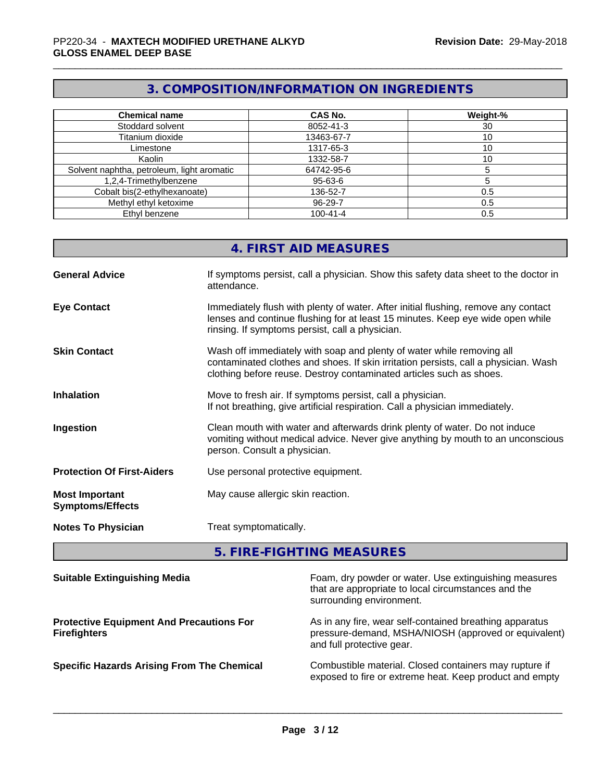# **3. COMPOSITION/INFORMATION ON INGREDIENTS**

| <b>Chemical name</b>                       | <b>CAS No.</b> | Weight-% |
|--------------------------------------------|----------------|----------|
| Stoddard solvent                           | 8052-41-3      | 30       |
| Titanium dioxide                           | 13463-67-7     | 10       |
| Limestone                                  | 1317-65-3      | 10       |
| Kaolin                                     | 1332-58-7      | 10       |
| Solvent naphtha, petroleum, light aromatic | 64742-95-6     |          |
| 1,2,4-Trimethylbenzene                     | 95-63-6        |          |
| Cobalt bis(2-ethylhexanoate)               | 136-52-7       | 0.5      |
| Methyl ethyl ketoxime                      | 96-29-7        | 0.5      |
| Ethyl benzene                              | $100 - 41 - 4$ | 0.5      |

|                                                  | 4. FIRST AID MEASURES                                                                                                                                                                                                               |
|--------------------------------------------------|-------------------------------------------------------------------------------------------------------------------------------------------------------------------------------------------------------------------------------------|
| <b>General Advice</b>                            | If symptoms persist, call a physician. Show this safety data sheet to the doctor in<br>attendance.                                                                                                                                  |
| <b>Eye Contact</b>                               | Immediately flush with plenty of water. After initial flushing, remove any contact<br>lenses and continue flushing for at least 15 minutes. Keep eye wide open while<br>rinsing. If symptoms persist, call a physician.             |
| <b>Skin Contact</b>                              | Wash off immediately with soap and plenty of water while removing all<br>contaminated clothes and shoes. If skin irritation persists, call a physician. Wash<br>clothing before reuse. Destroy contaminated articles such as shoes. |
| <b>Inhalation</b>                                | Move to fresh air. If symptoms persist, call a physician.<br>If not breathing, give artificial respiration. Call a physician immediately.                                                                                           |
| Ingestion                                        | Clean mouth with water and afterwards drink plenty of water. Do not induce<br>vomiting without medical advice. Never give anything by mouth to an unconscious<br>person. Consult a physician.                                       |
| <b>Protection Of First-Aiders</b>                | Use personal protective equipment.                                                                                                                                                                                                  |
| <b>Most Important</b><br><b>Symptoms/Effects</b> | May cause allergic skin reaction.                                                                                                                                                                                                   |
| <b>Notes To Physician</b>                        | Treat symptomatically.                                                                                                                                                                                                              |

# **5. FIRE-FIGHTING MEASURES**

| <b>Suitable Extinguishing Media</b>                                    | Foam, dry powder or water. Use extinguishing measures<br>that are appropriate to local circumstances and the<br>surrounding environment.     |
|------------------------------------------------------------------------|----------------------------------------------------------------------------------------------------------------------------------------------|
| <b>Protective Equipment And Precautions For</b><br><b>Firefighters</b> | As in any fire, wear self-contained breathing apparatus<br>pressure-demand, MSHA/NIOSH (approved or equivalent)<br>and full protective gear. |
| <b>Specific Hazards Arising From The Chemical</b>                      | Combustible material. Closed containers may rupture if<br>exposed to fire or extreme heat. Keep product and empty                            |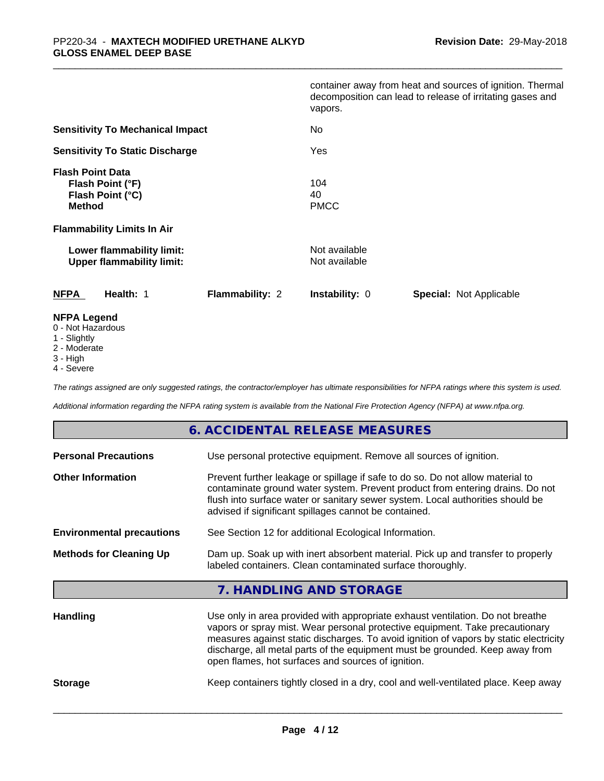|                                                                                  | container away from heat and sources of ignition. Thermal<br>decomposition can lead to release of irritating gases and<br>vapors. |
|----------------------------------------------------------------------------------|-----------------------------------------------------------------------------------------------------------------------------------|
| <b>Sensitivity To Mechanical Impact</b>                                          | No                                                                                                                                |
| <b>Sensitivity To Static Discharge</b>                                           | Yes                                                                                                                               |
| <b>Flash Point Data</b><br>Flash Point (°F)<br>Flash Point (°C)<br><b>Method</b> | 104<br>40<br><b>PMCC</b>                                                                                                          |
| <b>Flammability Limits In Air</b>                                                |                                                                                                                                   |
| Lower flammability limit:<br><b>Upper flammability limit:</b>                    | Not available<br>Not available                                                                                                    |
| <b>NFPA</b><br>Health: 1<br><b>Flammability: 2</b>                               | <b>Instability: 0</b><br><b>Special: Not Applicable</b>                                                                           |
| <b>NFPA Legend</b><br>0 - Not Hazardous                                          |                                                                                                                                   |

- 
- 1 Slightly
- 2 Moderate
- 3 High
- 4 Severe

*The ratings assigned are only suggested ratings, the contractor/employer has ultimate responsibilities for NFPA ratings where this system is used.*

*Additional information regarding the NFPA rating system is available from the National Fire Protection Agency (NFPA) at www.nfpa.org.*

## **6. ACCIDENTAL RELEASE MEASURES**

| <b>Personal Precautions</b>      | Use personal protective equipment. Remove all sources of ignition.                                                                                                                                                                                                                                                                                                                            |  |  |
|----------------------------------|-----------------------------------------------------------------------------------------------------------------------------------------------------------------------------------------------------------------------------------------------------------------------------------------------------------------------------------------------------------------------------------------------|--|--|
| <b>Other Information</b>         | Prevent further leakage or spillage if safe to do so. Do not allow material to<br>contaminate ground water system. Prevent product from entering drains. Do not<br>flush into surface water or sanitary sewer system. Local authorities should be<br>advised if significant spillages cannot be contained.                                                                                    |  |  |
| <b>Environmental precautions</b> | See Section 12 for additional Ecological Information.                                                                                                                                                                                                                                                                                                                                         |  |  |
| <b>Methods for Cleaning Up</b>   | Dam up. Soak up with inert absorbent material. Pick up and transfer to properly<br>labeled containers. Clean contaminated surface thoroughly.                                                                                                                                                                                                                                                 |  |  |
|                                  | 7. HANDLING AND STORAGE                                                                                                                                                                                                                                                                                                                                                                       |  |  |
| <b>Handling</b>                  | Use only in area provided with appropriate exhaust ventilation. Do not breathe<br>vapors or spray mist. Wear personal protective equipment. Take precautionary<br>measures against static discharges. To avoid ignition of vapors by static electricity<br>discharge, all metal parts of the equipment must be grounded. Keep away from<br>open flames, hot surfaces and sources of ignition. |  |  |

**Storage** Keep containers tightly closed in a dry, cool and well-ventilated place. Keep away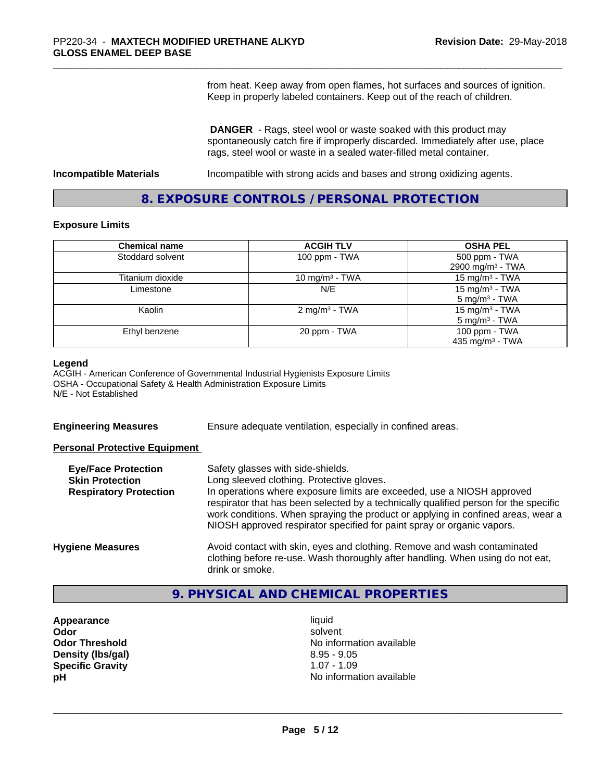from heat. Keep away from open flames, hot surfaces and sources of ignition. Keep in properly labeled containers. Keep out of the reach of children.

 **DANGER** - Rags, steel wool or waste soaked with this product may spontaneously catch fire if improperly discarded. Immediately after use, place rags, steel wool or waste in a sealed water-filled metal container.

**Incompatible Materials Incompatible with strong acids and bases and strong oxidizing agents.** 

## **8. EXPOSURE CONTROLS / PERSONAL PROTECTION**

#### **Exposure Limits**

| <b>Chemical name</b> | <b>ACGIH TLV</b>           | <b>OSHA PEL</b>              |
|----------------------|----------------------------|------------------------------|
| Stoddard solvent     | 100 ppm - TWA              | 500 ppm - TWA                |
|                      |                            | 2900 mg/m <sup>3</sup> - TWA |
| Titanium dioxide     | 10 mg/m <sup>3</sup> - TWA | 15 mg/m <sup>3</sup> - TWA   |
| Limestone            | N/E                        | 15 mg/m <sup>3</sup> - TWA   |
|                      |                            | $5 \text{ mg/m}^3$ - TWA     |
| Kaolin               | 2 mg/m <sup>3</sup> - TWA  | 15 mg/m <sup>3</sup> - TWA   |
|                      |                            | $5 \text{ mg/m}^3$ - TWA     |
| Ethyl benzene        | 20 ppm - TWA               | 100 ppm - TWA                |
|                      |                            | 435 mg/m <sup>3</sup> - TWA  |

#### **Legend**

ACGIH - American Conference of Governmental Industrial Hygienists Exposure Limits OSHA - Occupational Safety & Health Administration Exposure Limits N/E - Not Established

**Engineering Measures** Ensure adequate ventilation, especially in confined areas.

## **Personal Protective Equipment**

| <b>Eye/Face Protection</b><br><b>Skin Protection</b><br><b>Respiratory Protection</b> | Safety glasses with side-shields.<br>Long sleeved clothing. Protective gloves.<br>In operations where exposure limits are exceeded, use a NIOSH approved<br>respirator that has been selected by a technically qualified person for the specific<br>work conditions. When spraying the product or applying in confined areas, wear a<br>NIOSH approved respirator specified for paint spray or organic vapors. |
|---------------------------------------------------------------------------------------|----------------------------------------------------------------------------------------------------------------------------------------------------------------------------------------------------------------------------------------------------------------------------------------------------------------------------------------------------------------------------------------------------------------|
| <b>Hygiene Measures</b>                                                               | Avoid contact with skin, eyes and clothing. Remove and wash contaminated<br>clothing before re-use. Wash thoroughly after handling. When using do not eat,<br>drink or smoke.                                                                                                                                                                                                                                  |

## **9. PHYSICAL AND CHEMICAL PROPERTIES**

- **Appearance** liquid **Density (lbs/gal)** 8.95 - 9.05<br> **Specific Gravity** 8.95 - 1.07 - 1.09 **Specific Gravity**
- **Odor** solvent **Odor Threshold No information available No information available pH pH**  $\blacksquare$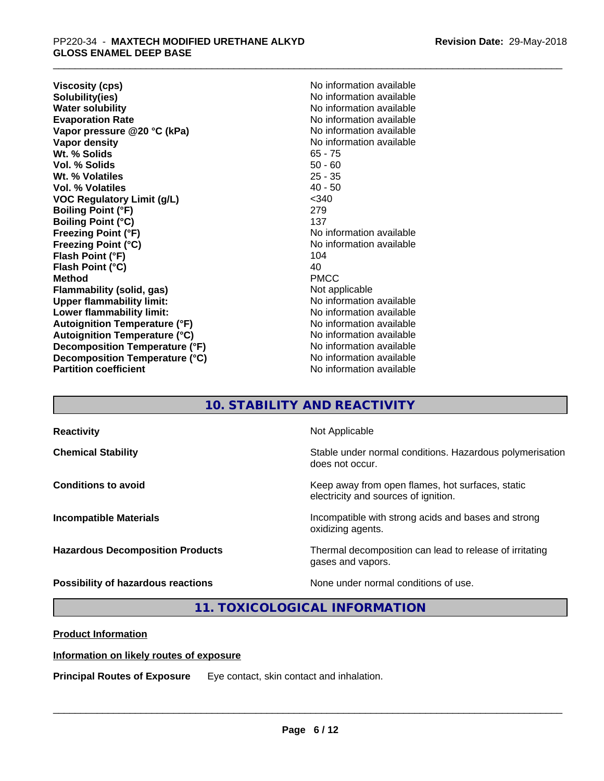**Viscosity (cps)** <br> **Viscosity (cps)** <br> **Solubility(ies)** <br> **Solubility(ies)** <br> **No** information available **Solubility(ies)**<br> **No information available**<br> **Water solubility**<br> **Water solubility Evaporation Rate No information available No information available Vapor pressure @20 °C (kPa)** No information available **Vapor density Vapor** density **Wt. % Solids** 65 - 75 **Vol. % Solids** 50 - 60 Wt. % Volatiles **Vol. % Volatiles** 40 - 50 **VOC Regulatory Limit (g/L)** <340 **Boiling Point (°F)** 279 **Boiling Point (°C)** 137<br> **Freezing Point (°F)** No i **Freezing Point (°C)** No information available **Flash Point (°F)** 104<br> **Flash Point (°C)** 104<br>
104 **Flash Point (°C) Method** PMCC **Flammability (solid, gas)** Not applicable **Upper flammability limit:** No information available **Lower flammability limit:** No information available **Lower** flammability limit: **Autoignition Temperature (°F)** No information available **Autoignition Temperature (°C)** No information available **Decomposition Temperature (°F)** No information available **Decomposition Temperature (°C)**<br> **Partition coefficient**<br> **Partition coefficient**<br> **No** information available

**No information available No information available No information available** 

# **10. STABILITY AND REACTIVITY**

| <b>Reactivity</b>                       | Not Applicable                                                                           |
|-----------------------------------------|------------------------------------------------------------------------------------------|
| <b>Chemical Stability</b>               | Stable under normal conditions. Hazardous polymerisation<br>does not occur.              |
| <b>Conditions to avoid</b>              | Keep away from open flames, hot surfaces, static<br>electricity and sources of ignition. |
| <b>Incompatible Materials</b>           | Incompatible with strong acids and bases and strong<br>oxidizing agents.                 |
| <b>Hazardous Decomposition Products</b> | Thermal decomposition can lead to release of irritating<br>gases and vapors.             |
| Possibility of hazardous reactions      | None under normal conditions of use.                                                     |

## **11. TOXICOLOGICAL INFORMATION**

**Product Information**

## **Information on likely routes of exposure**

**Principal Routes of Exposure** Eye contact, skin contact and inhalation.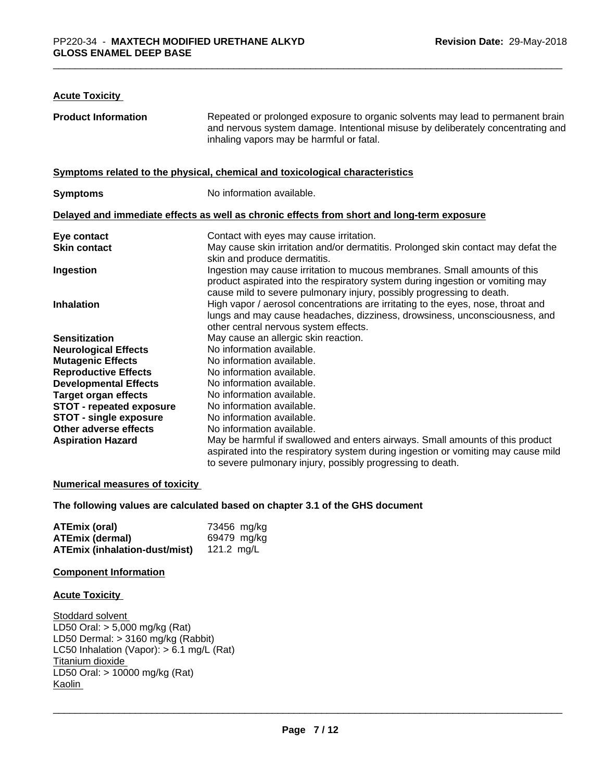## **Acute Toxicity**

| <b>Product Information</b>      | Repeated or prolonged exposure to organic solvents may lead to permanent brain<br>and nervous system damage. Intentional misuse by deliberately concentrating and<br>inhaling vapors may be harmful or fatal.                        |
|---------------------------------|--------------------------------------------------------------------------------------------------------------------------------------------------------------------------------------------------------------------------------------|
|                                 | Symptoms related to the physical, chemical and toxicological characteristics                                                                                                                                                         |
| <b>Symptoms</b>                 | No information available.                                                                                                                                                                                                            |
|                                 | Delayed and immediate effects as well as chronic effects from short and long-term exposure                                                                                                                                           |
| Eye contact                     | Contact with eyes may cause irritation.                                                                                                                                                                                              |
| <b>Skin contact</b>             | May cause skin irritation and/or dermatitis. Prolonged skin contact may defat the<br>skin and produce dermatitis.                                                                                                                    |
| Ingestion                       | Ingestion may cause irritation to mucous membranes. Small amounts of this<br>product aspirated into the respiratory system during ingestion or vomiting may<br>cause mild to severe pulmonary injury, possibly progressing to death. |
| <b>Inhalation</b>               | High vapor / aerosol concentrations are irritating to the eyes, nose, throat and<br>lungs and may cause headaches, dizziness, drowsiness, unconsciousness, and<br>other central nervous system effects.                              |
| <b>Sensitization</b>            | May cause an allergic skin reaction.                                                                                                                                                                                                 |
| <b>Neurological Effects</b>     | No information available.                                                                                                                                                                                                            |
| <b>Mutagenic Effects</b>        | No information available.                                                                                                                                                                                                            |
| <b>Reproductive Effects</b>     | No information available.                                                                                                                                                                                                            |
| <b>Developmental Effects</b>    | No information available.                                                                                                                                                                                                            |
| <b>Target organ effects</b>     | No information available.                                                                                                                                                                                                            |
| <b>STOT - repeated exposure</b> | No information available.                                                                                                                                                                                                            |
| <b>STOT - single exposure</b>   | No information available.                                                                                                                                                                                                            |
| Other adverse effects           | No information available.                                                                                                                                                                                                            |
| <b>Aspiration Hazard</b>        | May be harmful if swallowed and enters airways. Small amounts of this product<br>aspirated into the respiratory system during ingestion or vomiting may cause mild<br>to severe pulmonary injury, possibly progressing to death.     |

## **Numerical measures of toxicity**

**The following values are calculated based on chapter 3.1 of the GHS document**

| ATEmix (oral)                 | 73456 mg/kg |
|-------------------------------|-------------|
| <b>ATEmix (dermal)</b>        | 69479 mg/kg |
| ATEmix (inhalation-dust/mist) | 121.2 ma/L  |

## **Component Information**

#### **Acute Toxicity**

Stoddard solvent LD50 Oral: > 5,000 mg/kg (Rat) LD50 Dermal: > 3160 mg/kg (Rabbit) LC50 Inhalation (Vapor): > 6.1 mg/L (Rat) Titanium dioxide LD50 Oral: > 10000 mg/kg (Rat) Kaolin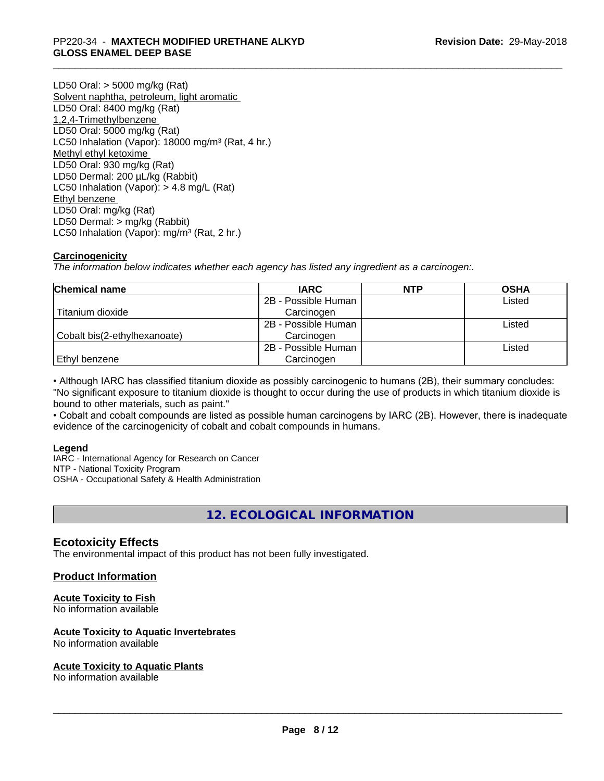## \_\_\_\_\_\_\_\_\_\_\_\_\_\_\_\_\_\_\_\_\_\_\_\_\_\_\_\_\_\_\_\_\_\_\_\_\_\_\_\_\_\_\_\_\_\_\_\_\_\_\_\_\_\_\_\_\_\_\_\_\_\_\_\_\_\_\_\_\_\_\_\_\_\_\_\_\_\_\_\_\_\_\_\_\_\_\_\_\_\_\_\_\_ PP220-34 - **MAXTECH MODIFIED URETHANE ALKYD GLOSS ENAMEL DEEP BASE**

LD50 Oral: > 5000 mg/kg (Rat) Solvent naphtha, petroleum, light aromatic LD50 Oral: 8400 mg/kg (Rat) 1,2,4-Trimethylbenzene LD50 Oral: 5000 mg/kg (Rat) LC50 Inhalation (Vapor): 18000 mg/m<sup>3</sup> (Rat, 4 hr.) Methyl ethyl ketoxime LD50 Oral: 930 mg/kg (Rat) LD50 Dermal: 200 µL/kg (Rabbit) LC50 Inhalation (Vapor): > 4.8 mg/L (Rat) Ethyl benzene LD50 Oral: mg/kg (Rat) LD50 Dermal: > mg/kg (Rabbit) LC50 Inhalation (Vapor): mg/m<sup>3</sup> (Rat, 2 hr.)

## **Carcinogenicity**

*The information below indicateswhether each agency has listed any ingredient as a carcinogen:.*

| <b>Chemical name</b>         | <b>IARC</b>         | <b>NTP</b> | <b>OSHA</b> |
|------------------------------|---------------------|------------|-------------|
|                              | 2B - Possible Human |            | Listed      |
| Titanium dioxide             | Carcinogen          |            |             |
|                              | 2B - Possible Human |            | Listed      |
| Cobalt bis(2-ethylhexanoate) | Carcinogen          |            |             |
|                              | 2B - Possible Human |            | Listed      |
| Ethyl benzene                | Carcinogen          |            |             |

• Although IARC has classified titanium dioxide as possibly carcinogenic to humans (2B), their summary concludes: "No significant exposure to titanium dioxide is thought to occur during the use of products in which titanium dioxide is bound to other materials, such as paint."

• Cobalt and cobalt compounds are listed as possible human carcinogens by IARC (2B). However, there is inadequate evidence of the carcinogenicity of cobalt and cobalt compounds in humans.

## **Legend**

IARC - International Agency for Research on Cancer NTP - National Toxicity Program OSHA - Occupational Safety & Health Administration

## **12. ECOLOGICAL INFORMATION**

## **Ecotoxicity Effects**

The environmental impact of this product has not been fully investigated.

## **Product Information**

## **Acute Toxicity to Fish**

No information available

## **Acute Toxicity to Aquatic Invertebrates**

No information available

## **Acute Toxicity to Aquatic Plants**

No information available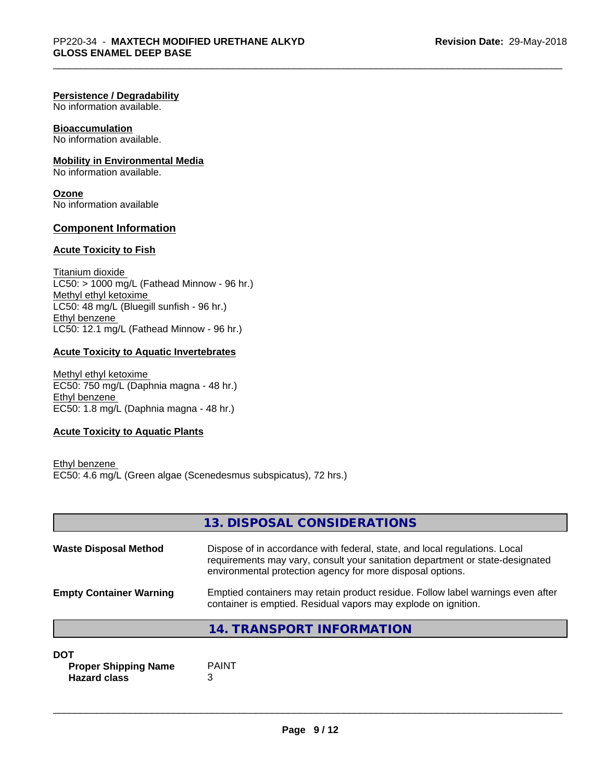## **Persistence / Degradability**

No information available.

## **Bioaccumulation**

No information available.

## **Mobility in Environmental Media**

No information available.

**Ozone** No information available

## **Component Information**

## **Acute Toxicity to Fish**

Titanium dioxide  $LC50: > 1000$  mg/L (Fathead Minnow - 96 hr.) Methyl ethyl ketoxime LC50: 48 mg/L (Bluegill sunfish - 96 hr.) Ethyl benzene LC50: 12.1 mg/L (Fathead Minnow - 96 hr.)

## **Acute Toxicity to Aquatic Invertebrates**

Methyl ethyl ketoxime EC50: 750 mg/L (Daphnia magna - 48 hr.) Ethyl benzene EC50: 1.8 mg/L (Daphnia magna - 48 hr.)

## **Acute Toxicity to Aquatic Plants**

Ethyl benzene EC50: 4.6 mg/L (Green algae (Scenedesmus subspicatus), 72 hrs.)

|                                | 13. DISPOSAL CONSIDERATIONS                                                                                                                                                                                               |
|--------------------------------|---------------------------------------------------------------------------------------------------------------------------------------------------------------------------------------------------------------------------|
| <b>Waste Disposal Method</b>   | Dispose of in accordance with federal, state, and local regulations. Local<br>requirements may vary, consult your sanitation department or state-designated<br>environmental protection agency for more disposal options. |
| <b>Empty Container Warning</b> | Emptied containers may retain product residue. Follow label warnings even after<br>container is emptied. Residual vapors may explode on ignition.                                                                         |
|                                | 14. TRANSPORT INFORMATION                                                                                                                                                                                                 |

#### **DOT**

**Proper Shipping Name** PAINT **Hazard class** 3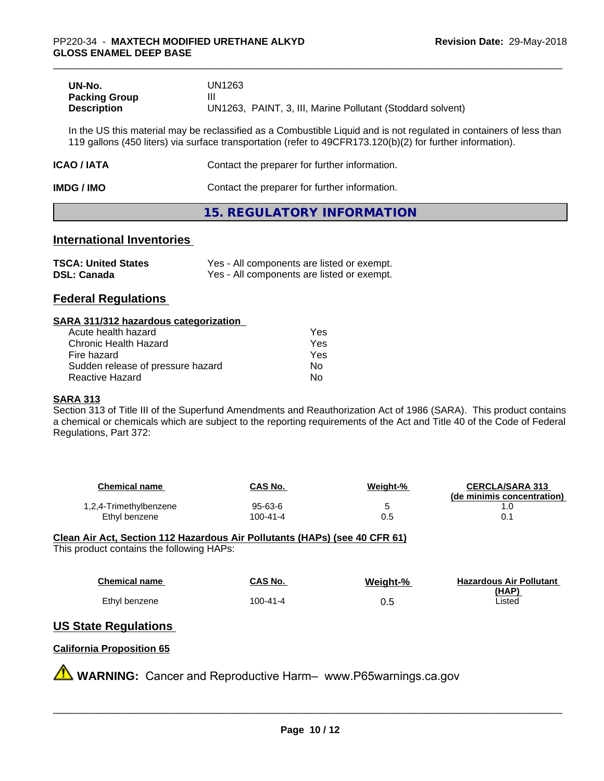| UN-No.               | UN1263                                                     |
|----------------------|------------------------------------------------------------|
| <b>Packing Group</b> |                                                            |
| <b>Description</b>   | UN1263, PAINT, 3, III, Marine Pollutant (Stoddard solvent) |

In the US this material may be reclassified as a Combustible Liquid and is not regulated in containers of less than 119 gallons (450 liters) via surface transportation (refer to 49CFR173.120(b)(2) for further information).

| <b>ICAO/IATA</b> | Contact the preparer for further information. |
|------------------|-----------------------------------------------|
|                  |                                               |

**IMDG / IMO Contact the preparer for further information.** 

## **15. REGULATORY INFORMATION**

## **International Inventories**

| <b>TSCA: United States</b> | Yes - All components are listed or exempt. |
|----------------------------|--------------------------------------------|
| <b>DSL: Canada</b>         | Yes - All components are listed or exempt. |

## **Federal Regulations**

#### **SARA 311/312 hazardous categorization**

| Acute health hazard               | Yes |  |
|-----------------------------------|-----|--|
| Chronic Health Hazard             | Yes |  |
| Fire hazard                       | Yes |  |
| Sudden release of pressure hazard | N٥  |  |
| Reactive Hazard                   | N٥  |  |

## **SARA 313**

Section 313 of Title III of the Superfund Amendments and Reauthorization Act of 1986 (SARA). This product contains a chemical or chemicals which are subject to the reporting requirements of the Act and Title 40 of the Code of Federal Regulations, Part 372:

| Chemical name          | <b>CAS No.</b> | Weight-% | <b>CERCLA/SARA 313</b><br>(de minimis concentration) |
|------------------------|----------------|----------|------------------------------------------------------|
| 1,2,4-Trimethylbenzene | 95-63-6        | ∼        |                                                      |
| Ethyl benzene          | 100-41-4       | 0.5      |                                                      |

#### **Clean Air Act,Section 112 Hazardous Air Pollutants (HAPs) (see 40 CFR 61)** This product contains the following HAPs:

| Chemical name | <b>CAS No.</b> | Weight-% | <b>Hazardous Air Pollutant</b> |
|---------------|----------------|----------|--------------------------------|
| Ethyl benzene | 100-41-4       | 0.5      | <u>(HAP)</u><br>Listed         |

# **US State Regulations**

## **California Proposition 65**

**A** WARNING: Cancer and Reproductive Harm– www.P65warnings.ca.gov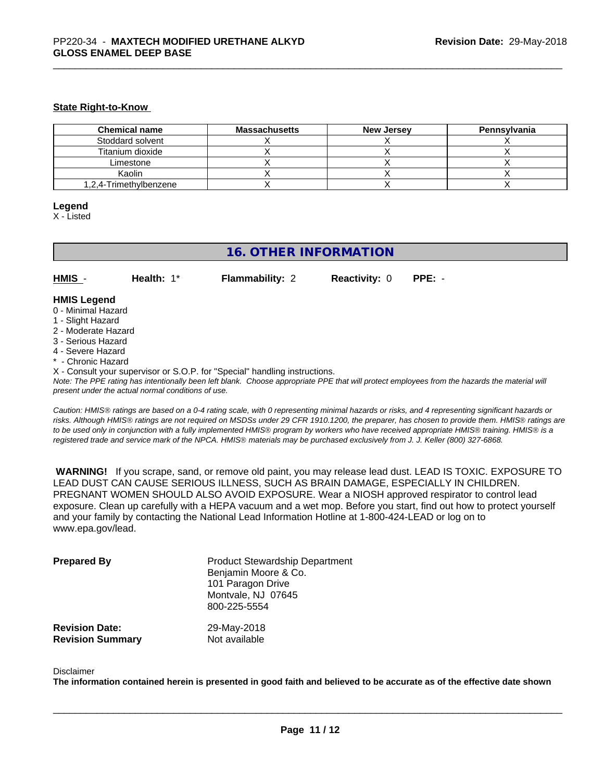#### **State Right-to-Know**

| <b>Chemical name</b>   | <b>Massachusetts</b> | <b>New Jersey</b> | Pennsylvania |
|------------------------|----------------------|-------------------|--------------|
| Stoddard solvent       |                      |                   |              |
| Titanium dioxide       |                      |                   |              |
| Limestone              |                      |                   |              |
| Kaolin                 |                      |                   |              |
| 1,2,4-Trimethylbenzene |                      |                   |              |

#### **Legend**

X - Listed

## **16. OTHER INFORMATION**

**HMIS** - **Health:** 1\* **Flammability:** 2 **Reactivity:** 0 **PPE:** -

#### **HMIS Legend**

- 0 Minimal Hazard
- 1 Slight Hazard
- 2 Moderate Hazard
- 3 Serious Hazard
- 4 Severe Hazard
- \* Chronic Hazard
- X Consult your supervisor or S.O.P. for "Special" handling instructions.

*Note: The PPE rating has intentionally been left blank. Choose appropriate PPE that will protect employees from the hazards the material will present under the actual normal conditions of use.*

*Caution: HMISÒ ratings are based on a 0-4 rating scale, with 0 representing minimal hazards or risks, and 4 representing significant hazards or risks. Although HMISÒ ratings are not required on MSDSs under 29 CFR 1910.1200, the preparer, has chosen to provide them. HMISÒ ratings are to be used only in conjunction with a fully implemented HMISÒ program by workers who have received appropriate HMISÒ training. HMISÒ is a registered trade and service mark of the NPCA. HMISÒ materials may be purchased exclusively from J. J. Keller (800) 327-6868.*

 **WARNING!** If you scrape, sand, or remove old paint, you may release lead dust. LEAD IS TOXIC. EXPOSURE TO LEAD DUST CAN CAUSE SERIOUS ILLNESS, SUCH AS BRAIN DAMAGE, ESPECIALLY IN CHILDREN. PREGNANT WOMEN SHOULD ALSO AVOID EXPOSURE.Wear a NIOSH approved respirator to control lead exposure. Clean up carefully with a HEPA vacuum and a wet mop. Before you start, find out how to protect yourself and your family by contacting the National Lead Information Hotline at 1-800-424-LEAD or log on to www.epa.gov/lead.

| <b>Prepared By</b>      | <b>Product Stewardship Department</b><br>Benjamin Moore & Co.<br>101 Paragon Drive<br>Montvale, NJ 07645<br>800-225-5554 |
|-------------------------|--------------------------------------------------------------------------------------------------------------------------|
| <b>Revision Date:</b>   | 29-May-2018                                                                                                              |
| <b>Revision Summary</b> | Not available                                                                                                            |

#### Disclaimer

The information contained herein is presented in good faith and believed to be accurate as of the effective date shown